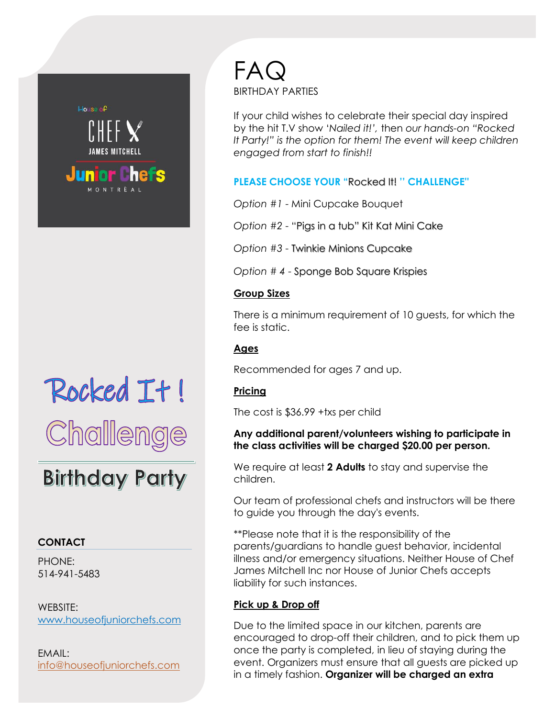

# Rocked It! Challenge

# **Birthday Party**

# **CONTACT**

PHONE: 514-941-5483

WEBSITE: www.houseofjuniorchefs.com

EMAIL: info@houseofjuniorchefs.com FAQ BIRTHDAY PARTIES

If your child wishes to celebrate their special day inspired by the hit T.V show '*Nailed it!',* then *our hands-on "Rocked It Party!" is the option for them! The event will keep children engaged from start to finish!!*

**PLEASE CHOOSE YOUR "**Rocked It! **'' CHALLENGE''**

*Option #1* - Mini Cupcake Bouquet

*Option #2* - "Pigs in a tub" Kit Kat Mini Cake

*Option #3* - Twinkie Minions Cupcake

*Option # 4* - Sponge Bob Square Krispies

# **Group Sizes**

There is a minimum requirement of 10 guests, for which the fee is static.

# **Ages**

Recommended for ages 7 and up.

# **Pricing**

The cost is \$36.99 +txs per child

#### **Any additional parent/volunteers wishing to participate in the class activities will be charged \$20.00 per person.**

We require at least **2 Adults** to stay and supervise the children.

Our team of professional chefs and instructors will be there to guide you through the day's events.

\*\*Please note that it is the responsibility of the parents/guardians to handle guest behavior, incidental illness and/or emergency situations. Neither House of Chef James Mitchell Inc nor House of Junior Chefs accepts liability for such instances.

# **Pick up & Drop off**

Due to the limited space in our kitchen, parents are encouraged to drop-off their children, and to pick them up once the party is completed, in lieu of staying during the event. Organizers must ensure that all guests are picked up in a timely fashion. **Organizer will be charged an extra**